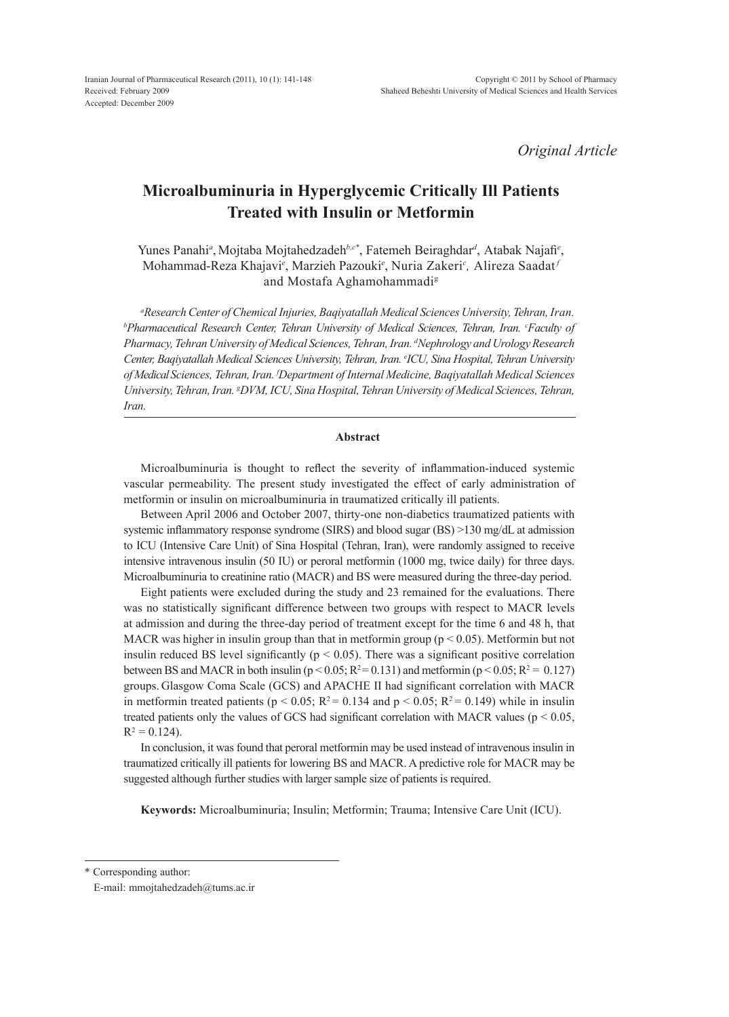*Original Article*

# **Microalbuminuria in Hyperglycemic Critically Ill Patients Treated with Insulin or Metformin**

Yunes Panahi<sup>a</sup>, Mojtaba Mojtahedzadeh<sup>b,c\*</sup>, Fatemeh Beiraghdar<sup>d</sup>, Atabak Najafi<sup>e</sup>, Mohammad-Reza Khajavi*<sup>e</sup>* , Marzieh Pazouki*<sup>e</sup>* , Nuria Zakeri*<sup>c</sup> ,* Alireza Saadat *<sup>f</sup>* and Mostafa Aghamohammadig

*a Research Center of Chemical Injuries, Baqiyatallah Medical Sciences University, Tehran, Iran. b Pharmaceutical Research Center, Tehran University of Medical Sciences, Tehran, Iran. c Faculty of Pharmacy, Tehran University of Medical Sciences, Tehran, Iran. d Nephrology and Urology Research Center, Baqiyatallah Medical Sciences University, Tehran, Iran. e ICU, Sina Hospital, Tehran University of Medical Sciences, Tehran, Iran. f Department of Internal Medicine, Baqiyatallah Medical Sciences*  University, Tehran, Iran. <sup>g</sup>DVM, ICU, Sina Hospital, Tehran University of Medical Sciences, Tehran, *Iran.*

## **Abstract**

Microalbuminuria is thought to reflect the severity of inflammation-induced systemic vascular permeability. The present study investigated the effect of early administration of metformin or insulin on microalbuminuria in traumatized critically ill patients.

Between April 2006 and October 2007, thirty-one non-diabetics traumatized patients with systemic inflammatory response syndrome (SIRS) and blood sugar (BS) >130 mg/dL at admission to ICU (Intensive Care Unit) of Sina Hospital (Tehran, Iran), were randomly assigned to receive intensive intravenous insulin (50 IU) or peroral metformin (1000 mg, twice daily) for three days. Microalbuminuria to creatinine ratio (MACR) and BS were measured during the three-day period.

Eight patients were excluded during the study and 23 remained for the evaluations. There was no statistically significant difference between two groups with respect to MACR levels at admission and during the three-day period of treatment except for the time 6 and 48 h, that MACR was higher in insulin group than that in metformin group ( $p < 0.05$ ). Metformin but not insulin reduced BS level significantly ( $p < 0.05$ ). There was a significant positive correlation between BS and MACR in both insulin ( $p < 0.05$ ;  $R^2 = 0.131$ ) and metformin ( $p < 0.05$ ;  $R^2 = 0.127$ ) groups. Glasgow Coma Scale (GCS) and APACHE II had significant correlation with MACR in metformin treated patients ( $p < 0.05$ ;  $R^2 = 0.134$  and  $p < 0.05$ ;  $R^2 = 0.149$ ) while in insulin treated patients only the values of GCS had significant correlation with MACR values ( $p < 0.05$ ,  $R^2 = 0.124$ .

In conclusion, it was found that peroral metformin may be used instead of intravenous insulin in traumatized critically ill patients for lowering BS and MACR. A predictive role for MACR may be suggested although further studies with larger sample size of patients is required.

**Keywords:** Microalbuminuria; Insulin; Metformin; Trauma; Intensive Care Unit (ICU).

\* Corresponding author:

E-mail: mmojtahedzadeh@tums.ac.ir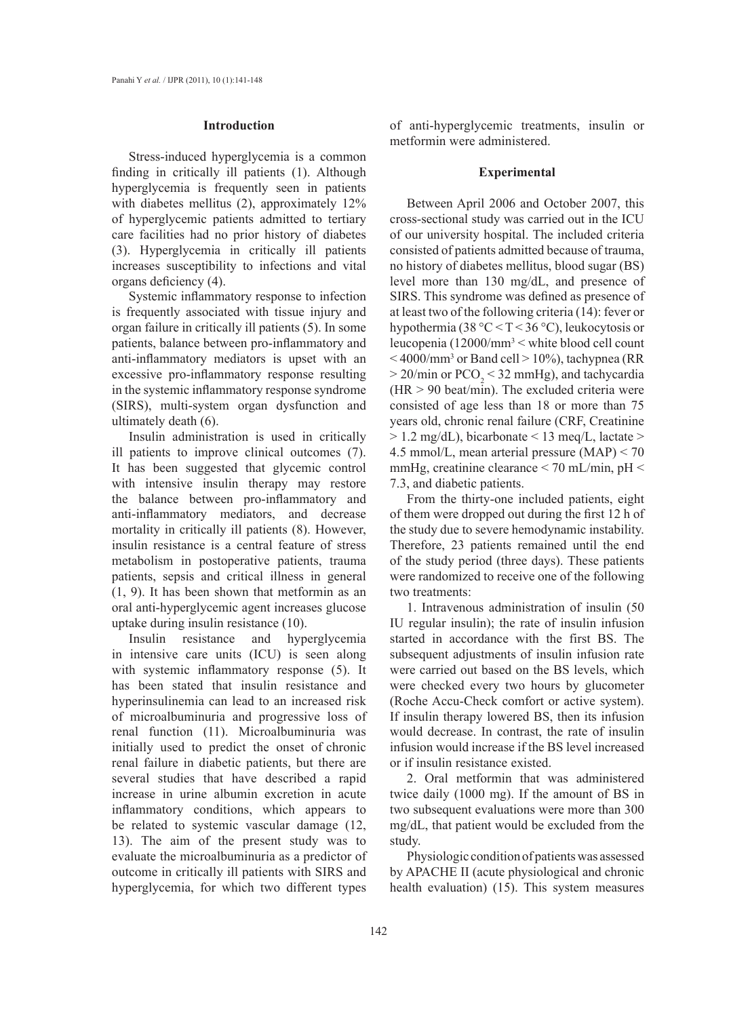#### **Introduction**

Stress-induced hyperglycemia is a common finding in critically ill patients (1). Although hyperglycemia is frequently seen in patients with diabetes mellitus (2), approximately 12% of hyperglycemic patients admitted to tertiary care facilities had no prior history of diabetes (3). Hyperglycemia in critically ill patients increases susceptibility to infections and vital organs deficiency (4).

Systemic inflammatory response to infection is frequently associated with tissue injury and organ failure in critically ill patients (5). In some patients, balance between pro-inflammatory and anti-inflammatory mediators is upset with an excessive pro-inflammatory response resulting in the systemic inflammatory response syndrome (SIRS), multi-system organ dysfunction and ultimately death (6).

Insulin administration is used in critically ill patients to improve clinical outcomes (7). It has been suggested that glycemic control with intensive insulin therapy may restore the balance between pro-inflammatory and anti-inflammatory mediators, and decrease mortality in critically ill patients (8). However, insulin resistance is a central feature of stress metabolism in postoperative patients, trauma patients, sepsis and critical illness in general (1, 9). It has been shown that metformin as an oral anti-hyperglycemic agent increases glucose uptake during insulin resistance (10).

Insulin resistance and hyperglycemia in intensive care units (ICU) is seen along with systemic inflammatory response (5). It has been stated that insulin resistance and hyperinsulinemia can lead to an increased risk of microalbuminuria and progressive loss of renal function (11). Microalbuminuria was initially used to predict the onset of chronic renal failure in diabetic patients, but there are several studies that have described a rapid increase in urine albumin excretion in acute inflammatory conditions, which appears to be related to systemic vascular damage (12, 13). The aim of the present study was to evaluate the microalbuminuria as a predictor of outcome in critically ill patients with SIRS and hyperglycemia, for which two different types

of anti-hyperglycemic treatments, insulin or metformin were administered.

#### **Experimental**

Between April 2006 and October 2007, this cross-sectional study was carried out in the ICU of our university hospital. The included criteria consisted of patients admitted because of trauma, no history of diabetes mellitus, blood sugar (BS) level more than 130 mg/dL, and presence of SIRS. This syndrome was defined as presence of at least two of the following criteria (14): fever or hypothermia (38 °C < T < 36 °C), leukocytosis or leucopenia  $(12000/\text{mm}^3<$  white blood cell count  $<$  4000/mm<sup>3</sup> or Band cell > 10%), tachypnea (RR  $>$  20/min or PCO<sub>2</sub> < 32 mmHg), and tachycardia  $(HR > 90$  beat/min). The excluded criteria were consisted of age less than 18 or more than 75 years old, chronic renal failure (CRF, Creatinine  $> 1.2$  mg/dL), bicarbonate  $< 13$  meq/L, lactate  $>$ 4.5 mmol/L, mean arterial pressure (MAP) < 70 mmHg, creatinine clearance < 70 mL/min, pH < 7.3, and diabetic patients.

From the thirty-one included patients, eight of them were dropped out during the first 12 h of the study due to severe hemodynamic instability. Therefore, 23 patients remained until the end of the study period (three days). These patients were randomized to receive one of the following two treatments:

1. Intravenous administration of insulin (50 IU regular insulin); the rate of insulin infusion started in accordance with the first BS. The subsequent adjustments of insulin infusion rate were carried out based on the BS levels, which were checked every two hours by glucometer (Roche Accu-Check comfort or active system). If insulin therapy lowered BS, then its infusion would decrease. In contrast, the rate of insulin infusion would increase if the BS level increased or if insulin resistance existed.

2. Oral metformin that was administered twice daily (1000 mg). If the amount of BS in two subsequent evaluations were more than 300 mg/dL, that patient would be excluded from the study.

Physiologic condition of patients was assessed by APACHE II (acute physiological and chronic health evaluation) (15). This system measures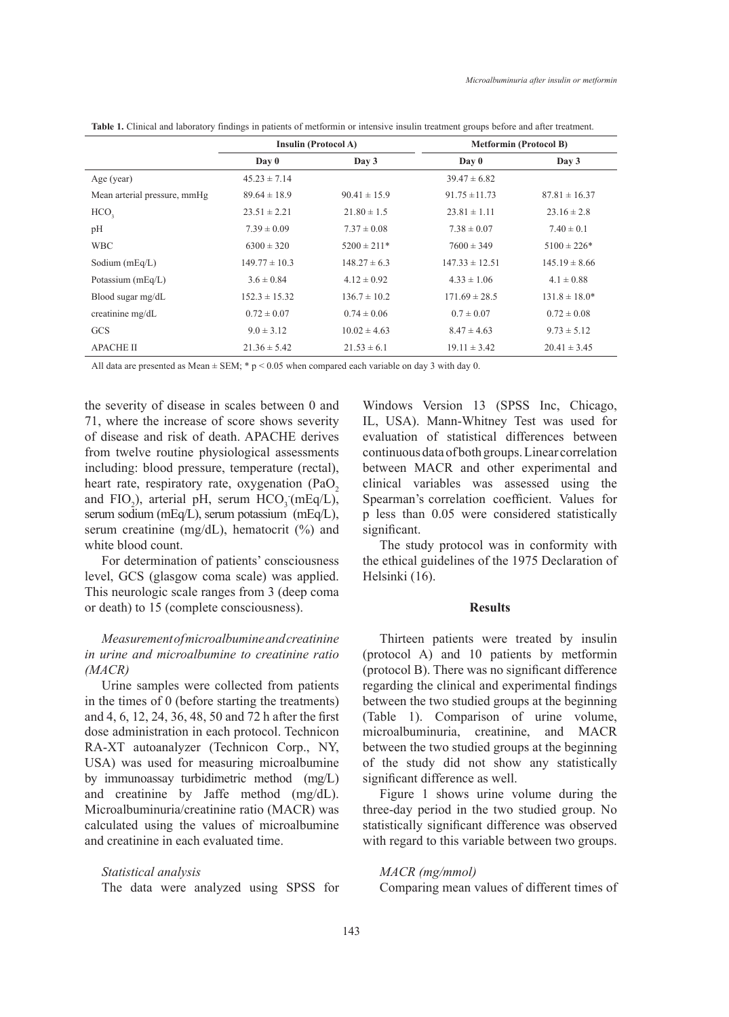|                              | <b>Insulin (Protocol A)</b> |                  | <b>Metformin (Protocol B)</b> |                    |
|------------------------------|-----------------------------|------------------|-------------------------------|--------------------|
|                              | Day 0                       | Day 3            | $\bf{D}$ av $\bf{0}$          | Day 3              |
| Age (year)                   | $45.23 \pm 7.14$            |                  | $39.47 \pm 6.82$              |                    |
| Mean arterial pressure, mmHg | $89.64 \pm 18.9$            | $90.41 \pm 15.9$ | $91.75 \pm 11.73$             | $87.81 \pm 16.37$  |
| HCO <sub>2</sub>             | $23.51 \pm 2.21$            | $21.80 \pm 1.5$  | $23.81 \pm 1.11$              | $23.16 \pm 2.8$    |
| pH                           | $7.39 \pm 0.09$             | $7.37 \pm 0.08$  | $7.38 \pm 0.07$               | $7.40 \pm 0.1$     |
| <b>WBC</b>                   | $6300 \pm 320$              | $5200 \pm 211*$  | $7600 \pm 349$                | $5100 \pm 226*$    |
| Sodium $(mEq/L)$             | $149.77 \pm 10.3$           | $148.27 \pm 6.3$ | $147.33 \pm 12.51$            | $145.19 \pm 8.66$  |
| Potassium $(mEq/L)$          | $3.6 \pm 0.84$              | $4.12 \pm 0.92$  | $4.33 \pm 1.06$               | $4.1 \pm 0.88$     |
| Blood sugar mg/dL            | $152.3 \pm 15.32$           | $136.7 \pm 10.2$ | $171.69 \pm 28.5$             | $131.8 \pm 18.0^*$ |
| creatinine mg/dL             | $0.72 \pm 0.07$             | $0.74 \pm 0.06$  | $0.7 \pm 0.07$                | $0.72 \pm 0.08$    |
| <b>GCS</b>                   | $9.0 \pm 3.12$              | $10.02 \pm 4.63$ | $8.47 \pm 4.63$               | $9.73 \pm 5.12$    |
| <b>APACHE II</b>             | $21.36 \pm 5.42$            | $21.53 \pm 6.1$  | $19.11 \pm 3.42$              | $20.41 \pm 3.45$   |

**Table 1.** Clinical and laboratory findings in patients of metformin or intensive insulin treatment groups before and after treatment.

All data are presented as Mean  $\pm$  SEM; \* p < 0.05 when compared each variable on day 3 with day 0.

the severity of disease in scales between 0 and 71, where the increase of score shows severity of disease and risk of death. APACHE derives from twelve routine physiological assessments including: blood pressure, temperature (rectal), heart rate, respiratory rate, oxygenation (PaO<sub>2</sub> and  $FIO_2$ ), arterial pH, serum  $HCO_3$  (mEq/L), serum sodium (mEq/L), serum potassium (mEq/L), serum creatinine (mg/dL), hematocrit (%) and white blood count.

For determination of patients' consciousness level, GCS (glasgow coma scale) was applied. This neurologic scale ranges from 3 (deep coma or death) to 15 (complete consciousness).

# *Measurement of microalbumine and creatinine in urine and microalbumine to creatinine ratio (MACR)*

Urine samples were collected from patients in the times of 0 (before starting the treatments) and 4, 6, 12, 24, 36, 48, 50 and 72 h after the first dose administration in each protocol. Technicon RA-XT autoanalyzer (Technicon Corp., NY, USA) was used for measuring microalbumine by immunoassay turbidimetric method (mg/L) and creatinine by Jaffe method (mg/dL). Microalbuminuria/creatinine ratio (MACR) was calculated using the values of microalbumine and creatinine in each evaluated time.

*Statistical analysis*  The data were analyzed using SPSS for Windows Version 13 (SPSS Inc, Chicago, IL, USA). Mann-Whitney Test was used for evaluation of statistical differences between continuous data of both groups. Linear correlation between MACR and other experimental and clinical variables was assessed using the Spearman's correlation coefficient. Values for p less than 0.05 were considered statistically significant.

The study protocol was in conformity with the ethical guidelines of the 1975 Declaration of Helsinki (16).

# **Results**

Thirteen patients were treated by insulin (protocol A) and 10 patients by metformin (protocol B). There was no significant difference regarding the clinical and experimental findings between the two studied groups at the beginning (Table 1). Comparison of urine volume, microalbuminuria, creatinine, and MACR between the two studied groups at the beginning of the study did not show any statistically significant difference as well.

Figure 1 shows urine volume during the three-day period in the two studied group. No statistically significant difference was observed with regard to this variable between two groups.

*MACR (mg/mmol)* Comparing mean values of different times of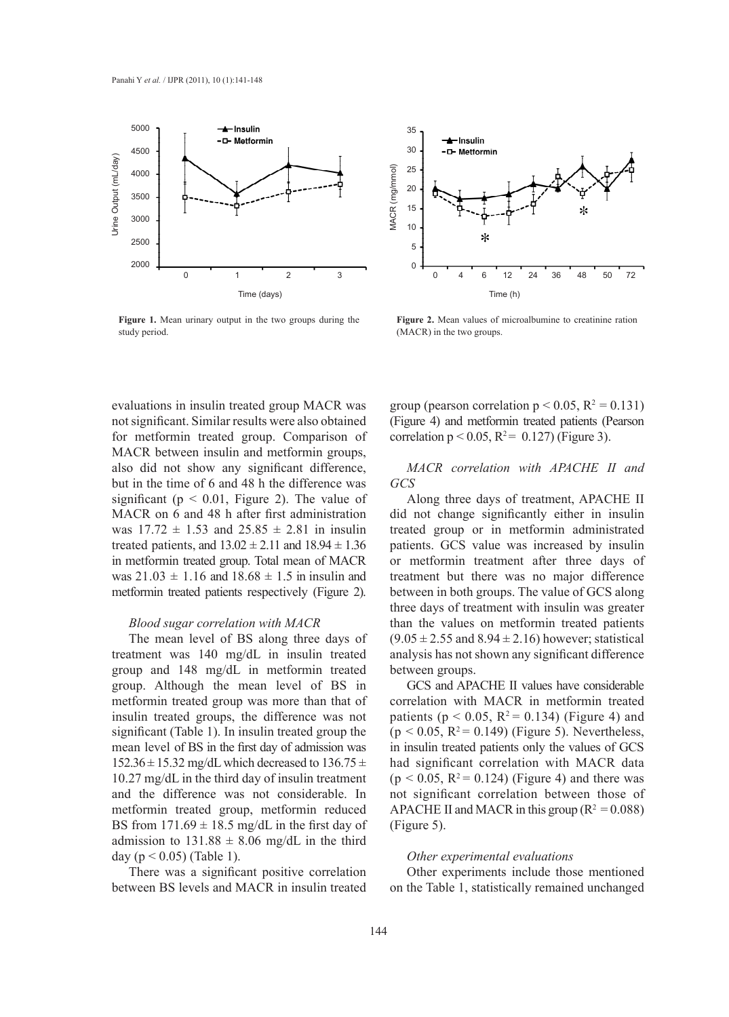

**A**-Insulin 30 -D-Metformin 25 MACR (mg/mmol) MACR (mg/mmol) 20 15 10  $\ast$ 5  $\Omega$ 0 4 6 12 24 36 48 50 72 Time (h)

35

**Figure 1.** Mean urinary output in the two groups during the study period.

**Figure 2.** Mean values of microalbumine to creatinine ration (MACR) in the two groups.

also did not show any significant difference, evaluations in insulin treated group MACR was not significant. Similar results were also obtained for metformin treated group. Comparison of MACR between insulin and metformin groups, but in the time of 6 and 48 h the difference was significant ( $p < 0.01$ , Figure 2). The value of MACR on 6 and 48 h after first administration was  $17.72 \pm 1.53$  and  $25.85 \pm 2.81$  in insulin treated patients, and  $13.02 \pm 2.11$  and  $18.94 \pm 1.36$ in metformin treated group. Total mean of MACR was  $21.03 \pm 1.16$  and  $18.68 \pm 1.5$  in insulin and metformin treated patients respectively (Figure 2).

## *Blood sugar correlation with MACR*

The mean level of BS along three days of treatment was 140 mg/dL in insulin treated group and 148 mg/dL in metformin treated group. Although the mean level of BS in metformin treated group was more than that of insulin treated groups, the difference was not significant (Table 1). In insulin treated group the mean level of BS in the first day of admission was  $152.36 \pm 15.32$  mg/dL which decreased to  $136.75 \pm 15.32$ 10.27 mg/dL in the third day of insulin treatment and the difference was not considerable. In metformin treated group, metformin reduced BS from  $171.69 \pm 18.5$  mg/dL in the first day of admission to  $131.88 \pm 8.06$  mg/dL in the third day ( $p < 0.05$ ) (Table 1).

There was a significant positive correlation between BS levels and MACR in insulin treated group (pearson correlation  $p < 0.05$ ,  $R^2 = 0.131$ ) (Figure 4) and metformin treated patients (Pearson correlation  $p < 0.05$ ,  $R^2 = 0.127$ ) (Figure 3).

*MACR correlation with APACHE II and GCS* 

Along three days of treatment, APACHE II did not change significantly either in insulin treated group or in metformin administrated patients. GCS value was increased by insulin or metformin treatment after three days of treatment but there was no major difference between in both groups. The value of GCS along three days of treatment with insulin was greater than the values on metformin treated patients  $(9.05 \pm 2.55 \text{ and } 8.94 \pm 2.16)$  however; statistical analysis has not shown any significant difference between groups.

GCS and APACHE II values have considerable correlation with MACR in metformin treated patients ( $p < 0.05$ ,  $R^2 = 0.134$ ) (Figure 4) and  $(p < 0.05, R^2 = 0.149)$  (Figure 5). Nevertheless, in insulin treated patients only the values of GCS had significant correlation with MACR data  $(p < 0.05, R^2 = 0.124)$  (Figure 4) and there was not significant correlation between those of APACHE II and MACR in this group  $(R^2 = 0.088)$ (Figure 5).

### *Other experimental evaluations*

Other experiments include those mentioned on the Table 1, statistically remained unchanged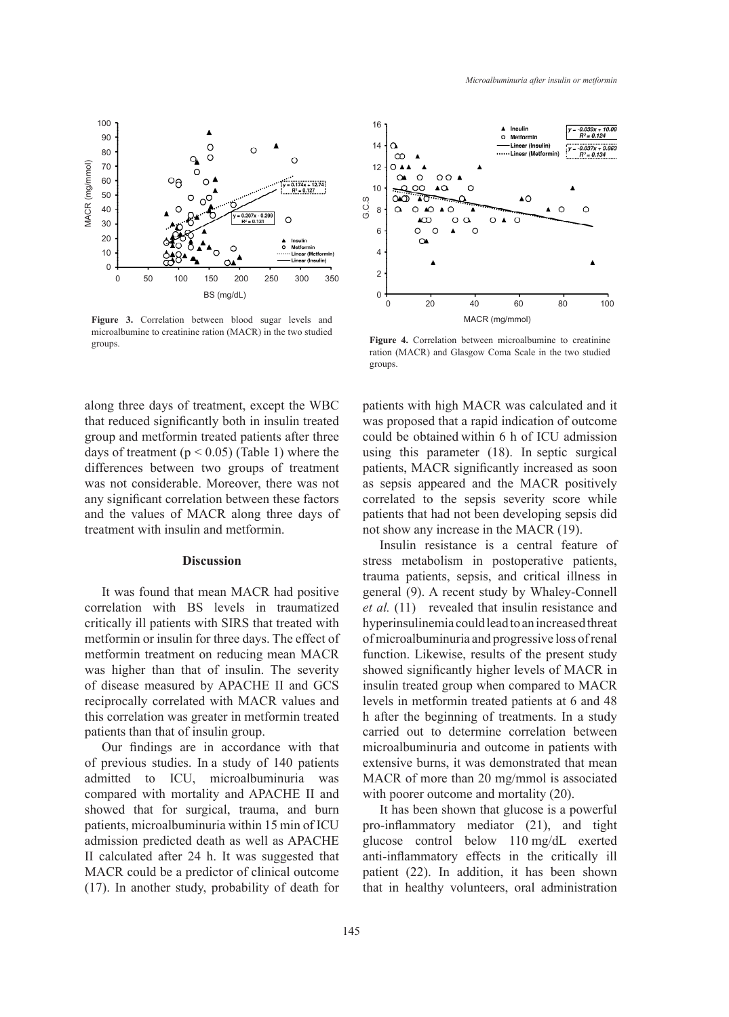

**Figure 3.** Correlation between blood sugar levels and microalbumine to creatinine ration (MACR) in the two studied groups.

along three days of treatment, except the WBC that reduced significantly both in insulin treated group and metformin treated patients after three days of treatment ( $p < 0.05$ ) (Table 1) where the differences between two groups of treatment was not considerable. Moreover, there was not any significant correlation between these factors and the values of MACR along three days of treatment with insulin and metformin.

# **Discussion**

It was found that mean MACR had positive correlation with BS levels in traumatized critically ill patients with SIRS that treated with metformin or insulin for three days. The effect of metformin treatment on reducing mean MACR was higher than that of insulin. The severity of disease measured by APACHE II and GCS reciprocally correlated with MACR values and this correlation was greater in metformin treated patients than that of insulin group.

Our findings are in accordance with that of previous studies. In a study of 140 patients admitted to ICU, microalbuminuria was compared with mortality and APACHE II and showed that for surgical, trauma, and burn patients, microalbuminuria within 15 min of ICU admission predicted death as well as APACHE II calculated after 24 h. It was suggested that MACR could be a predictor of clinical outcome (17). In another study, probability of death for



**Figure 4.** Correlation between microalbumine to creatinine ration (MACR) and Glasgow Coma Scale in the two studied groups.

was proposed that a rapid indication of outcome patients with high MACR was calculated and it could be obtained within 6 h of ICU admission using this parameter (18). In septic surgical patients, MACR significantly increased as soon as sepsis appeared and the MACR positively correlated to the sepsis severity score while patients that had not been developing sepsis did not show any increase in the MACR (19).

Insulin resistance is a central feature of stress metabolism in postoperative patients, trauma patients, sepsis, and critical illness in general (9). A recent study by Whaley-Connell *et al.* (11) revealed that insulin resistance and hyperinsulinemia could lead to an increased threat of microalbuminuria and progressive loss of renal function. Likewise, results of the present study showed significantly higher levels of MACR in insulin treated group when compared to MACR levels in metformin treated patients at 6 and 48 h after the beginning of treatments. In a study carried out to determine correlation between microalbuminuria and outcome in patients with extensive burns, it was demonstrated that mean MACR of more than 20 mg/mmol is associated with poorer outcome and mortality  $(20)$ .

It has been shown that glucose is a powerful pro-inflammatory mediator (21), and tight glucose control below 110 mg/dL exerted anti-inflammatory effects in the critically ill patient (22). In addition, it has been shown that in healthy volunteers, oral administration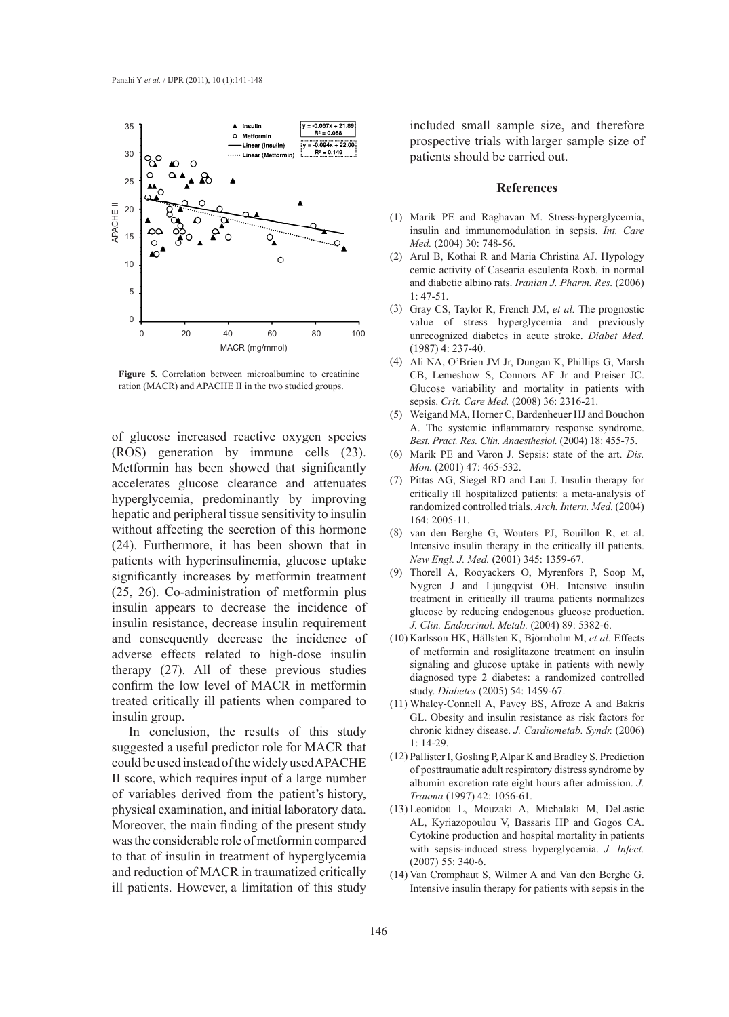

**Figure 5.** Correlation between microalbumine to creatinine ration (MACR) and APACHE II in the two studied groups.

of glucose increased reactive oxygen species (ROS) generation by immune cells (23). Metformin has been showed that significantly accelerates glucose clearance and attenuates hyperglycemia, predominantly by improving hepatic and peripheral tissue sensitivity to insulin without affecting the secretion of this hormone (24). Furthermore, it has been shown that in patients with hyperinsulinemia, glucose uptake significantly increases by metformin treatment (25, 26). Co-administration of metformin plus insulin appears to decrease the incidence of insulin resistance, decrease insulin requirement and consequently decrease the incidence of adverse effects related to high-dose insulin therapy (27). All of these previous studies confirm the low level of MACR in metformin treated critically ill patients when compared to insulin group.

In conclusion, the results of this study suggested a useful predictor role for MACR that could be used instead of the widely used APACHE II score, which requiresinput of a large number of variables derived from the patient's history, physical examination, and initial laboratory data. Moreover, the main finding of the present study was the considerable role of metformin compared to that of insulin in treatment of hyperglycemia and reduction of MACR in traumatized critically ill patients. However, a limitation of this study

included small sample size, and therefore prospective trials with larger sample size of patients should be carried out.

#### **References**

- (1) Marik PE and Raghavan M. Stress-hyperglycemia, insulin and immunomodulation in sepsis. *Int. Care Med.* (2004) 30: 748-56.
- (2) Arul B, Kothai R and Maria Christina AJ. Hypology cemic activity of Casearia esculenta Roxb. in normal and diabetic albino rats. *Iranian J. Pharm. Res.* (2006)  $1: 47-51$
- (3) Gray CS, Taylor R, French JM, et al. The prognostic value of stress hyperglycemia and previously unrecognized diabetes in acute stroke. *Diabet Med.* (1987) 4: 237-40.
- Ali NA, O'Brien JM Jr, Dungan K, Phillips G, Marsh (4) CB, Lemeshow S, Connors AF Jr and Preiser JC. Glucose variability and mortality in patients with sepsis. *Crit. Care Med.* (2008) 36: 2316-21.
- Weigand MA, Horner C, Bardenheuer HJ and Bouchon (5) A. The systemic inflammatory response syndrome. *Best. Pract. Res. Clin. Anaesthesiol.* (2004) 18: 455-75.
- Marik PE and Varon J. Sepsis: state of the art. *Dis.*  (6) *Mon.* (2001) 47: 465-532.
- (7) Pittas AG, Siegel RD and Lau J. Insulin therapy for critically ill hospitalized patients: a meta-analysis of randomized controlled trials. *Arch. Intern. Med.* (2004) 164: 2005-11.
- (8) van den Berghe G, Wouters PJ, Bouillon R, et al. Intensive insulin therapy in the critically ill patients. *New Engl. J. Med.* (2001) 345: 1359-67.
- (9) Thorell A, Rooyackers O, Myrenfors P, Soop M, Nygren J and Ljungqvist OH. Intensive insulin treatment in critically ill trauma patients normalizes glucose by reducing endogenous glucose production. *J. Clin. Endocrinol. Metab.* (2004) 89: 5382-6.
- (10) Karlsson HK, Hällsten K, Björnholm M, et al. Effects of metformin and rosiglitazone treatment on insulin signaling and glucose uptake in patients with newly diagnosed type 2 diabetes: a randomized controlled study. *Diabetes* (2005) 54: 1459-67.
- Whaley-Connell A, Pavey BS, Afroze A and Bakris (11) GL. Obesity and insulin resistance as risk factors for chronic kidney disease. *J. Cardiometab. Syndr.* (2006)  $1: 14-29$
- Pallister I, Gosling P, Alpar K and Bradley S. Prediction (12) of posttraumatic adult respiratory distress syndrome by albumin excretion rate eight hours after admission. *J. Trauma* (1997) 42: 1056-61.
- Leonidou L, Mouzaki A, Michalaki M, DeLastic (13) AL, Kyriazopoulou V, Bassaris HP and Gogos CA. Cytokine production and hospital mortality in patients with sepsis-induced stress hyperglycemia. *J. Infect.* (2007) 55: 340-6.
- (14) Van Cromphaut S, Wilmer A and Van den Berghe G. Intensive insulin therapy for patients with sepsis in the